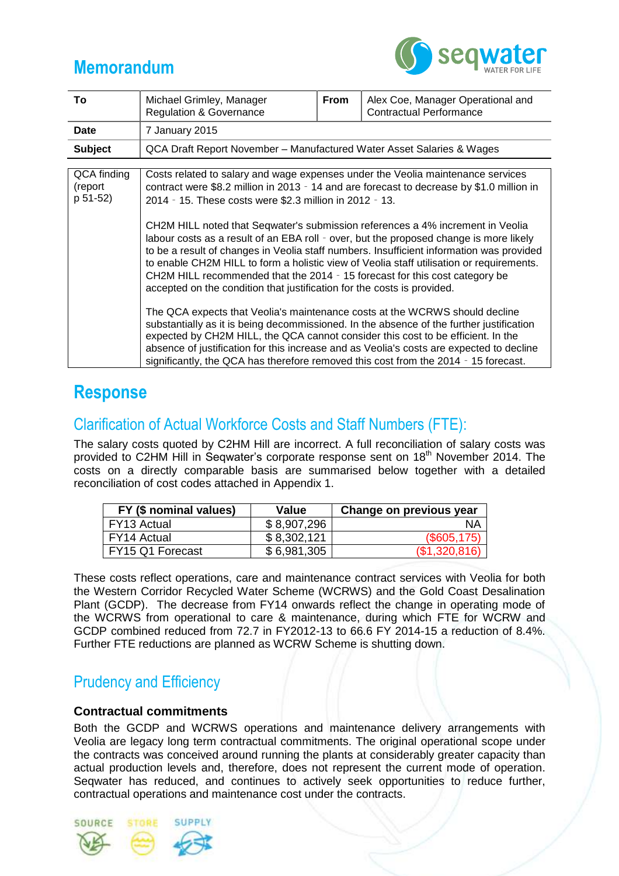# **Memorandum**



| To                                 | Michael Grimley, Manager<br><b>Regulation &amp; Governance</b>                                                                                                                                                                                                                                                                                                                                                                                                                                                                                                                                                                                   | <b>From</b> | Alex Coe, Manager Operational and<br><b>Contractual Performance</b>                                                                                                                                                                                                                                                                                                                                                                                                                                                                                                 |  |  |  |  |  |  |
|------------------------------------|--------------------------------------------------------------------------------------------------------------------------------------------------------------------------------------------------------------------------------------------------------------------------------------------------------------------------------------------------------------------------------------------------------------------------------------------------------------------------------------------------------------------------------------------------------------------------------------------------------------------------------------------------|-------------|---------------------------------------------------------------------------------------------------------------------------------------------------------------------------------------------------------------------------------------------------------------------------------------------------------------------------------------------------------------------------------------------------------------------------------------------------------------------------------------------------------------------------------------------------------------------|--|--|--|--|--|--|
| <b>Date</b>                        | 7 January 2015                                                                                                                                                                                                                                                                                                                                                                                                                                                                                                                                                                                                                                   |             |                                                                                                                                                                                                                                                                                                                                                                                                                                                                                                                                                                     |  |  |  |  |  |  |
| <b>Subject</b>                     | QCA Draft Report November - Manufactured Water Asset Salaries & Wages                                                                                                                                                                                                                                                                                                                                                                                                                                                                                                                                                                            |             |                                                                                                                                                                                                                                                                                                                                                                                                                                                                                                                                                                     |  |  |  |  |  |  |
|                                    |                                                                                                                                                                                                                                                                                                                                                                                                                                                                                                                                                                                                                                                  |             |                                                                                                                                                                                                                                                                                                                                                                                                                                                                                                                                                                     |  |  |  |  |  |  |
| QCA finding<br>(report<br>p 51-52) | Costs related to salary and wage expenses under the Veolia maintenance services<br>2014 - 15. These costs were \$2.3 million in 2012 - 13.<br>CH2M HILL noted that Seqwater's submission references a 4% increment in Veolia<br>CH2M HILL recommended that the 2014 - 15 forecast for this cost category be<br>accepted on the condition that justification for the costs is provided.<br>The QCA expects that Veolia's maintenance costs at the WCRWS should decline<br>expected by CH2M HILL, the QCA cannot consider this cost to be efficient. In the<br>significantly, the QCA has therefore removed this cost from the 2014 - 15 forecast. |             | contract were \$8.2 million in 2013 - 14 and are forecast to decrease by \$1.0 million in<br>labour costs as a result of an EBA roll - over, but the proposed change is more likely<br>to be a result of changes in Veolia staff numbers. Insufficient information was provided<br>to enable CH2M HILL to form a holistic view of Veolia staff utilisation or requirements.<br>substantially as it is being decommissioned. In the absence of the further justification<br>absence of justification for this increase and as Veolia's costs are expected to decline |  |  |  |  |  |  |

## **Response**

## Clarification of Actual Workforce Costs and Staff Numbers (FTE):

The salary costs quoted by C2HM Hill are incorrect. A full reconciliation of salary costs was provided to C2HM Hill in Seqwater's corporate response sent on 18<sup>th</sup> November 2014. The costs on a directly comparable basis are summarised below together with a detailed reconciliation of cost codes attached in Appendix 1.

| FY (\$ nominal values) | Value       | Change on previous year |
|------------------------|-------------|-------------------------|
| FY13 Actual            | \$8,907,296 | ΝA                      |
| <b>FY14 Actual</b>     | \$8,302,121 | (\$605, 175)            |
| FY15 Q1 Forecast       | \$6,981,305 | (\$1,320,816)           |

These costs reflect operations, care and maintenance contract services with Veolia for both the Western Corridor Recycled Water Scheme (WCRWS) and the Gold Coast Desalination Plant (GCDP). The decrease from FY14 onwards reflect the change in operating mode of the WCRWS from operational to care & maintenance, during which FTE for WCRW and GCDP combined reduced from 72.7 in FY2012-13 to 66.6 FY 2014-15 a reduction of 8.4%. Further FTE reductions are planned as WCRW Scheme is shutting down.

### Prudency and Efficiency

### **Contractual commitments**

Both the GCDP and WCRWS operations and maintenance delivery arrangements with Veolia are legacy long term contractual commitments. The original operational scope under the contracts was conceived around running the plants at considerably greater capacity than actual production levels and, therefore, does not represent the current mode of operation. Seqwater has reduced, and continues to actively seek opportunities to reduce further, contractual operations and maintenance cost under the contracts.

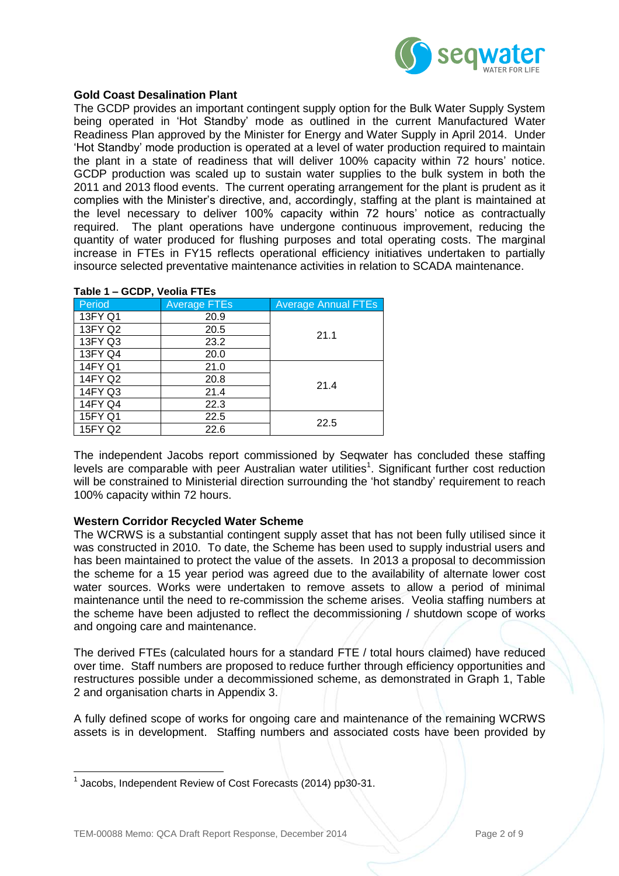

#### **Gold Coast Desalination Plant**

The GCDP provides an important contingent supply option for the Bulk Water Supply System being operated in 'Hot Standby' mode as outlined in the current Manufactured Water Readiness Plan approved by the Minister for Energy and Water Supply in April 2014. Under 'Hot Standby' mode production is operated at a level of water production required to maintain the plant in a state of readiness that will deliver 100% capacity within 72 hours' notice. GCDP production was scaled up to sustain water supplies to the bulk system in both the 2011 and 2013 flood events. The current operating arrangement for the plant is prudent as it complies with the Minister's directive, and, accordingly, staffing at the plant is maintained at the level necessary to deliver 100% capacity within 72 hours' notice as contractually required. The plant operations have undergone continuous improvement, reducing the quantity of water produced for flushing purposes and total operating costs. The marginal increase in FTEs in FY15 reflects operational efficiency initiatives undertaken to partially insource selected preventative maintenance activities in relation to SCADA maintenance.

| Table 1 – GCDP, Veolia FTEs |                     |                            |  |  |  |  |  |
|-----------------------------|---------------------|----------------------------|--|--|--|--|--|
| Period                      | <b>Average FTEs</b> | <b>Average Annual FTEs</b> |  |  |  |  |  |
| 13FY Q1                     | 20.9                |                            |  |  |  |  |  |
| 13FY Q2                     | 20.5                | 21.1                       |  |  |  |  |  |
| 13FY Q3                     | 23.2                |                            |  |  |  |  |  |
| 13FY Q4                     | 20.0                |                            |  |  |  |  |  |
| 14FY Q1                     | 21.0                |                            |  |  |  |  |  |
| 14FY Q2                     | 20.8                | 21.4                       |  |  |  |  |  |
| 14FY Q3                     | 21.4                |                            |  |  |  |  |  |
| 14FY Q4                     | 22.3                |                            |  |  |  |  |  |
| 15FY Q1                     | 22.5                | 22.5                       |  |  |  |  |  |
| 15FY Q2                     | 22.6                |                            |  |  |  |  |  |

The independent Jacobs report commissioned by Seqwater has concluded these staffing levels are comparable with peer Australian water utilities<sup>1</sup>. Significant further cost reduction will be constrained to Ministerial direction surrounding the 'hot standby' requirement to reach 100% capacity within 72 hours.

#### **Western Corridor Recycled Water Scheme**

The WCRWS is a substantial contingent supply asset that has not been fully utilised since it was constructed in 2010. To date, the Scheme has been used to supply industrial users and has been maintained to protect the value of the assets. In 2013 a proposal to decommission the scheme for a 15 year period was agreed due to the availability of alternate lower cost water sources. Works were undertaken to remove assets to allow a period of minimal maintenance until the need to re-commission the scheme arises. Veolia staffing numbers at the scheme have been adjusted to reflect the decommissioning / shutdown scope of works and ongoing care and maintenance.

The derived FTEs (calculated hours for a standard FTE / total hours claimed) have reduced over time. Staff numbers are proposed to reduce further through efficiency opportunities and restructures possible under a decommissioned scheme, as demonstrated in Graph 1, Table 2 and organisation charts in Appendix 3.

A fully defined scope of works for ongoing care and maintenance of the remaining WCRWS assets is in development. Staffing numbers and associated costs have been provided by

  $1$  Jacobs, Independent Review of Cost Forecasts (2014) pp30-31.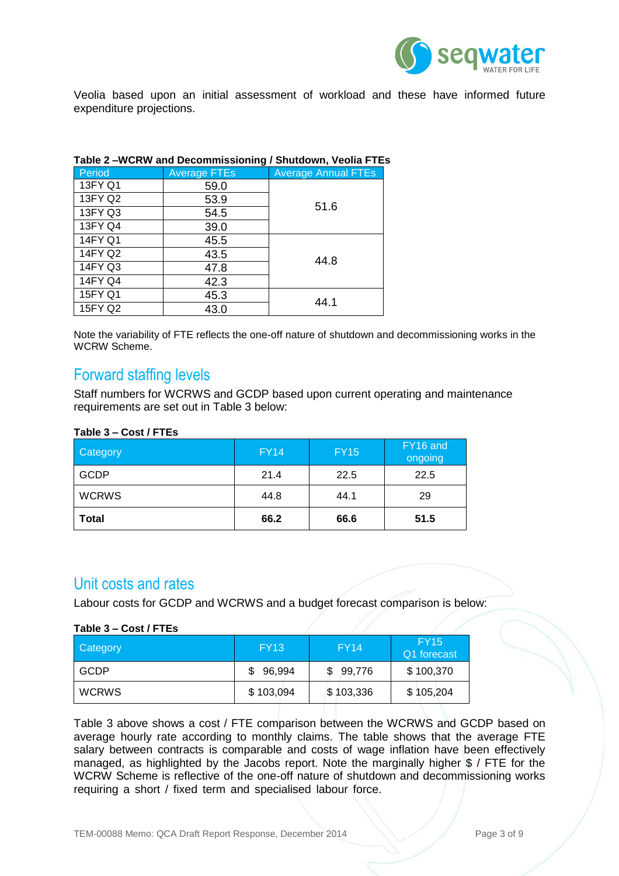

Veolia based upon an initial assessment of workload and these have informed future expenditure projections.

| Table 2 –WCRW and Decommissioning / Shutdown, Veolla FTEs |                     |                            |  |  |  |  |  |
|-----------------------------------------------------------|---------------------|----------------------------|--|--|--|--|--|
| Period                                                    | <b>Average FTEs</b> | <b>Average Annual FTEs</b> |  |  |  |  |  |
| 13FY Q1                                                   | 59.0                |                            |  |  |  |  |  |
| 13FY Q2                                                   | 53.9                | 51.6                       |  |  |  |  |  |
| 13FY Q3                                                   | 54.5                |                            |  |  |  |  |  |
| 13FY Q4                                                   | 39.0                |                            |  |  |  |  |  |
| 14FY Q1                                                   | 45.5                |                            |  |  |  |  |  |
| 14FY Q2                                                   | 43.5                |                            |  |  |  |  |  |
| 14FY Q3                                                   | 47.8                | 44.8                       |  |  |  |  |  |
| 14FY Q4                                                   | 42.3                |                            |  |  |  |  |  |
| 15FY Q1                                                   | 45.3                | 44.1                       |  |  |  |  |  |
| 15FY Q2                                                   | 43.0                |                            |  |  |  |  |  |

#### **Table 2 –WCRW and Decommissioning / Shutdown, Veolia FTEs**

Note the variability of FTE reflects the one-off nature of shutdown and decommissioning works in the WCRW Scheme.

### Forward staffing levels

Staff numbers for WCRWS and GCDP based upon current operating and maintenance requirements are set out in Table 3 below:

#### **Table 3 – Cost / FTEs**

| <b>Category</b> | <b>FY14</b> | <b>FY15</b> | FY16 and<br>ongoing |  |
|-----------------|-------------|-------------|---------------------|--|
| <b>GCDP</b>     | 21.4        | 22.5        | 22.5                |  |
| <b>WCRWS</b>    | 44.8        | 44.1        | 29                  |  |
| <b>Total</b>    | 66.2        | 66.6        | 51.5                |  |

### Unit costs and rates

Labour costs for GCDP and WCRWS and a budget forecast comparison is below:

#### **Table 3 – Cost / FTEs**

| Category     | <b>FY13</b>  | <b>FY14</b>  | <b>FY15</b><br>'Q1 forecast |
|--------------|--------------|--------------|-----------------------------|
| <b>GCDP</b>  | 96,994<br>S. | 99,776<br>\$ | \$100,370                   |
| <b>WCRWS</b> | \$103,094    | \$103,336    | \$105,204                   |

Table 3 above shows a cost / FTE comparison between the WCRWS and GCDP based on average hourly rate according to monthly claims. The table shows that the average FTE salary between contracts is comparable and costs of wage inflation have been effectively managed, as highlighted by the Jacobs report. Note the marginally higher \$ / FTE for the WCRW Scheme is reflective of the one-off nature of shutdown and decommissioning works requiring a short / fixed term and specialised labour force.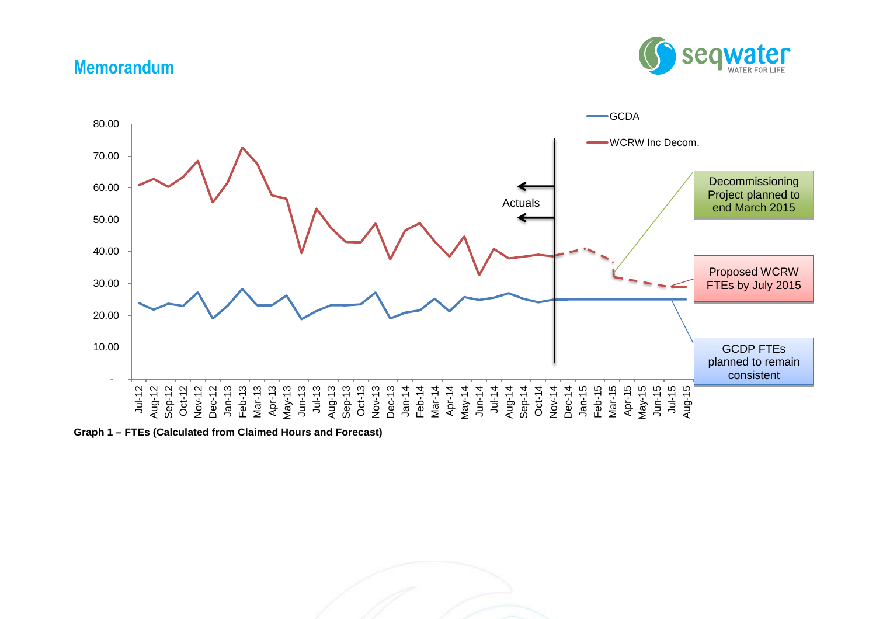# **Memorandum**





**Graph 1 – FTEs (Calculated from Claimed Hours and Forecast)**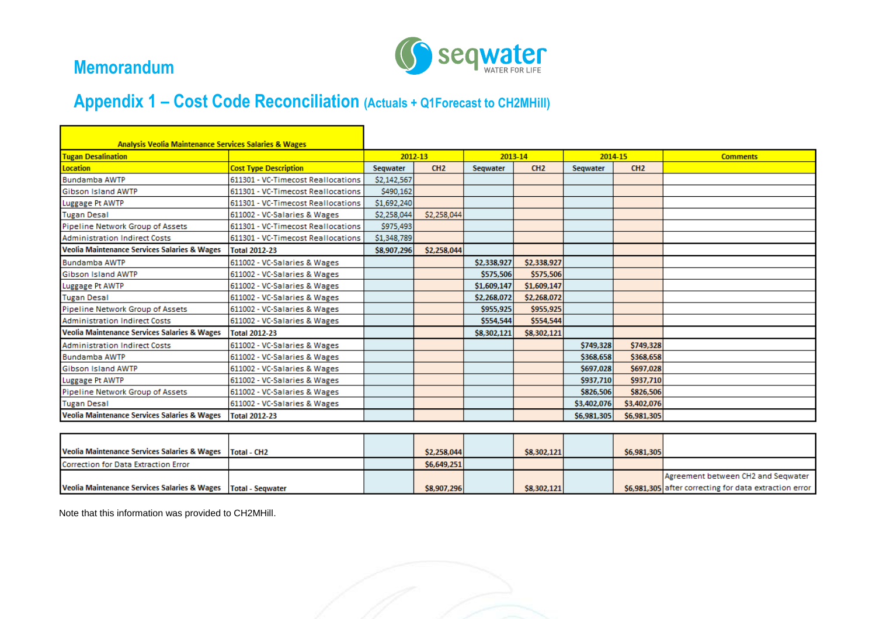

## **Memorandum**

# **Appendix 1 – Cost Code Reconciliation (Actuals + Q1Forecast to CH2MHill)**

| <b>Analysis Veolia Maintenance Services Salaries &amp; Wages</b><br><b>Tugan Desalination</b> |                                    | 2012-13     |             | 2013-14     |             | 2014-15     |             | <b>Comments</b> |
|-----------------------------------------------------------------------------------------------|------------------------------------|-------------|-------------|-------------|-------------|-------------|-------------|-----------------|
| <b>Location</b>                                                                               | <b>Cost Type Description</b>       | Segwater    | CH2         | Segwater    | CH2         | Segwater    | CH2         |                 |
| <b>Bundamba AWTP</b>                                                                          | 611301 - VC-Timecost Reallocations | \$2,142,567 |             |             |             |             |             |                 |
| <b>Gibson Island AWTP</b>                                                                     | 611301 - VC-Timecost Reallocations | \$490,162   |             |             |             |             |             |                 |
| Luggage Pt AWTP                                                                               | 611301 - VC-Timecost Reallocations | \$1,692,240 |             |             |             |             |             |                 |
| <b>Tugan Desal</b>                                                                            | 611002 - VC-Salaries & Wages       | \$2,258,044 | \$2,258,044 |             |             |             |             |                 |
| Pipeline Network Group of Assets                                                              | 611301 - VC-Timecost Reallocations | \$975,493   |             |             |             |             |             |                 |
| <b>Administration Indirect Costs</b>                                                          | 611301 - VC-Timecost Reallocations | \$1,348,789 |             |             |             |             |             |                 |
| <b>Veolia Maintenance Services Salaries &amp; Wages</b>                                       | <b>Total 2012-23</b>               | \$8,907,296 | \$2,258,044 |             |             |             |             |                 |
| <b>Bundamba AWTP</b>                                                                          | 611002 - VC-Salaries & Wages       |             |             | \$2,338,927 | \$2,338,927 |             |             |                 |
| <b>Gibson Island AWTP</b>                                                                     | 611002 - VC-Salaries & Wages       |             |             | \$575,506   | \$575,506   |             |             |                 |
| Luggage Pt AWTP                                                                               | 611002 - VC-Salaries & Wages       |             |             | \$1,609,147 | \$1,609,147 |             |             |                 |
| <b>Tugan Desal</b>                                                                            | 611002 - VC-Salaries & Wages       |             |             | \$2,268,072 | \$2,268,072 |             |             |                 |
| Pipeline Network Group of Assets                                                              | 611002 - VC-Salaries & Wages       |             |             | \$955,925   | \$955,925   |             |             |                 |
| <b>Administration Indirect Costs</b>                                                          | 611002 - VC-Salaries & Wages       |             |             | \$554,544   | \$554.544   |             |             |                 |
| <b>Veolia Maintenance Services Salaries &amp; Wages</b>                                       | <b>Total 2012-23</b>               |             |             | \$8,302,121 | \$8,302,121 |             |             |                 |
| <b>Administration Indirect Costs</b>                                                          | 611002 - VC-Salaries & Wages       |             |             |             |             | \$749,328   | \$749,328   |                 |
| <b>Bundamba AWTP</b>                                                                          | 611002 - VC-Salaries & Wages       |             |             |             |             | \$368,658   | \$368,658   |                 |
| Gibson Island AWTP                                                                            | 611002 - VC-Salaries & Wages       |             |             |             |             | \$697,028   | \$697,028   |                 |
| Luggage Pt AWTP                                                                               | 611002 - VC-Salaries & Wages       |             |             |             |             | \$937,710   | \$937,710   |                 |
| Pipeline Network Group of Assets                                                              | 611002 - VC-Salaries & Wages       |             |             |             |             | \$826,506   | \$826,506   |                 |
| <b>Tugan Desal</b>                                                                            | 611002 - VC-Salaries & Wages       |             |             |             |             | \$3,402,076 | \$3,402,076 |                 |
| <b>Veolia Maintenance Services Salaries &amp; Wages</b>                                       | <b>Total 2012-23</b>               |             |             |             |             | \$6,981,305 | \$6,981,305 |                 |

| Veolia Maintenance Services Salaries & Wages   Total - CH2      |  | \$2,258,044 | \$8,302,121 | \$6,981,305 |                                                        |
|-----------------------------------------------------------------|--|-------------|-------------|-------------|--------------------------------------------------------|
| Correction for Data Extraction Error                            |  | \$6,649,251 |             |             |                                                        |
|                                                                 |  |             |             |             | Agreement between CH2 and Seqwater                     |
| Veolia Maintenance Services Salaries & Wages   Total - Segwater |  | \$8,907,296 | \$8,302,121 |             | \$6,981,305 after correcting for data extraction error |

Note that this information was provided to CH2MHill.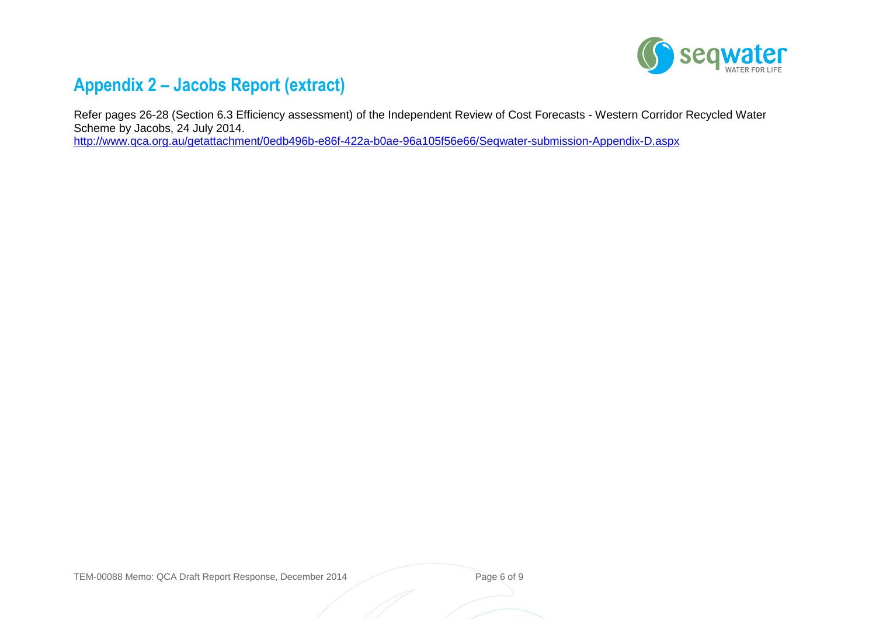

## **Appendix 2 – Jacobs Report (extract)**

Refer pages 26-28 (Section 6.3 Efficiency assessment) of the Independent Review of Cost Forecasts - Western Corridor Recycled Water Scheme by Jacobs, 24 July 2014.

<http://www.qca.org.au/getattachment/0edb496b-e86f-422a-b0ae-96a105f56e66/Seqwater-submission-Appendix-D.aspx>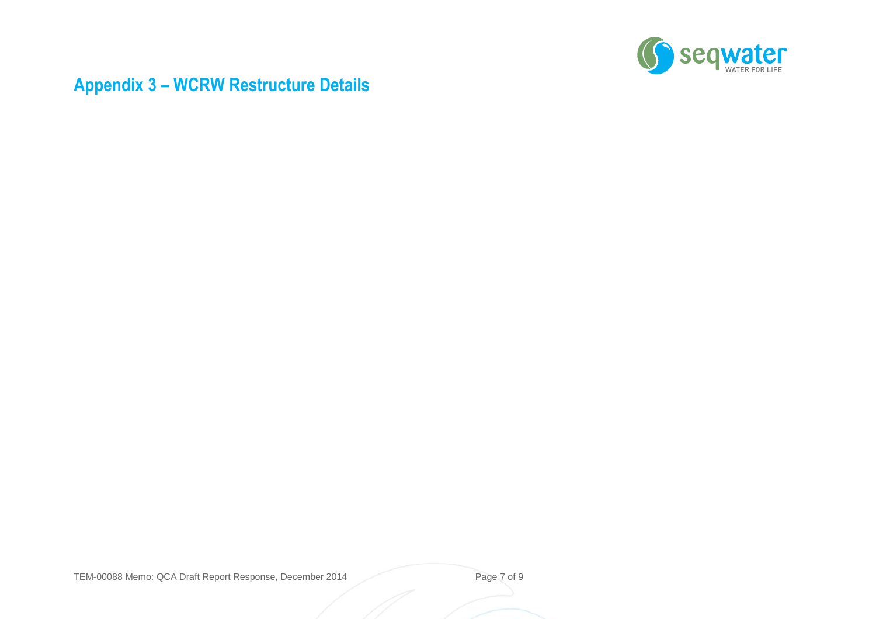

# **Appendix 3 – WCRW Restructure Details**

TEM-00088 Memo: QCA Draft Report Response, December 2014 Page 7 of 9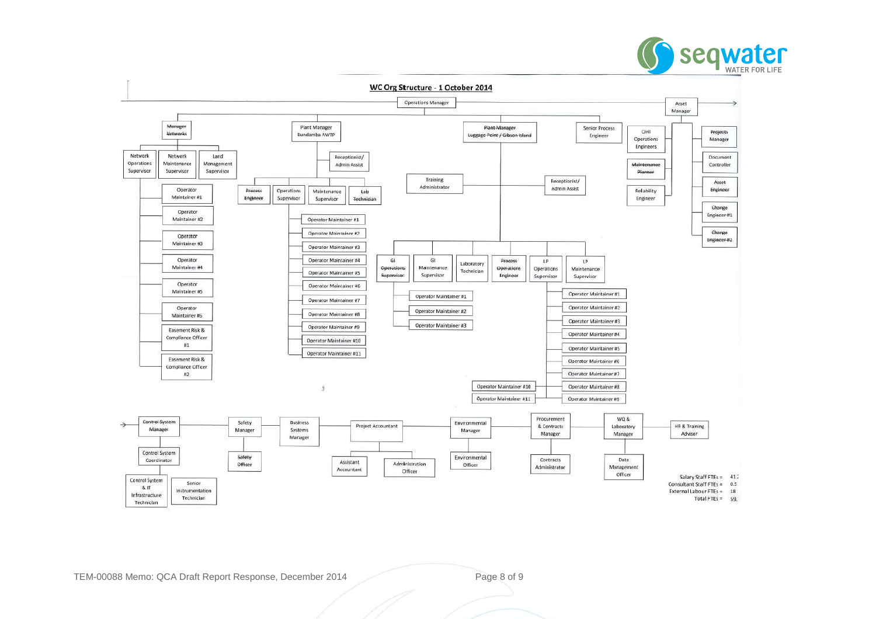



TEM-00088 Memo: QCA Draft Report Response, December 2014 Page 8 of 9